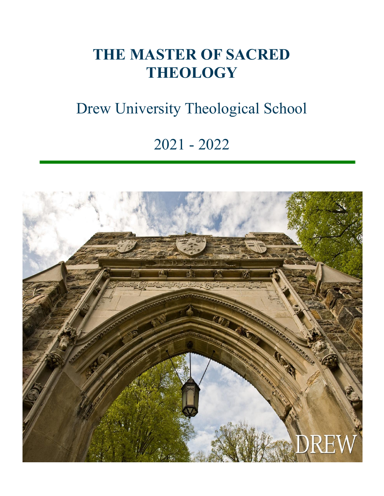### **THE MASTER OF SACRED THEOLOGY**

## Drew University Theological School

### 2021 - 2022

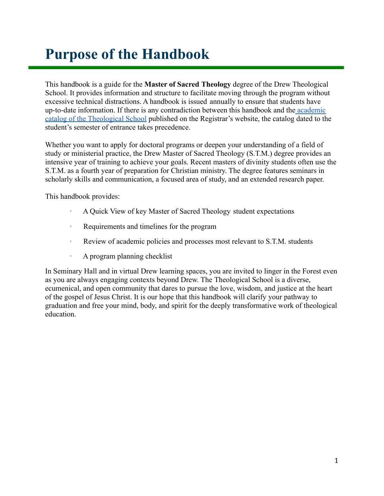### <span id="page-1-0"></span>**Purpose of the Handbook**

This handbook is a guide for the **Master of Sacred Theology** degree of the Drew Theological School. It provides information and structure to facilitate moving through the program without excessive technical distractions. A handbook is issued annually to ensure that students have up-to-date information. If there is any contradiction between this handbook and the [academic](http://catalog.drew.edu/index.php) [catalog of the Theological School](http://catalog.drew.edu/index.php) published on the Registrar's website, the catalog dated to the student's semester of entrance takes precedence.

Whether you want to apply for doctoral programs or deepen your understanding of a field of study or ministerial practice, the Drew Master of Sacred Theology (S.T.M.) degree provides an intensive year of training to achieve your goals. Recent masters of divinity students often use the S.T.M. as a fourth year of preparation for Christian ministry. The degree features seminars in scholarly skills and communication, a focused area of study, and an extended research paper.

This handbook provides:

- · A Quick View of key Master of Sacred Theology student expectations
- · Requirements and timelines for the program
- · Review of academic policies and processes most relevant to S.T.M. students
- · A program planning checklist

In Seminary Hall and in virtual Drew learning spaces, you are invited to linger in the Forest even as you are always engaging contexts beyond Drew. The Theological School is a diverse, ecumenical, and open community that dares to pursue the love, wisdom, and justice at the heart of the gospel of Jesus Christ. It is our hope that this handbook will clarify your pathway to graduation and free your mind, body, and spirit for the deeply transformative work of theological education.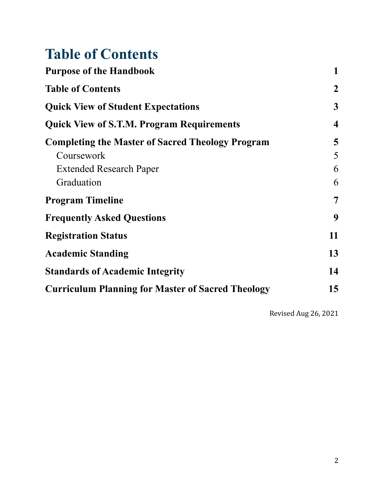### <span id="page-2-0"></span>**Table of Contents**

| <b>Purpose of the Handbook</b>                                                                |                |
|-----------------------------------------------------------------------------------------------|----------------|
| <b>Table of Contents</b>                                                                      | $\overline{2}$ |
| <b>Quick View of Student Expectations</b><br><b>Quick View of S.T.M. Program Requirements</b> |                |
|                                                                                               |                |
| Coursework                                                                                    | 5              |
| <b>Extended Research Paper</b>                                                                | 6              |
| Graduation                                                                                    | 6              |
| <b>Program Timeline</b>                                                                       | $\overline{7}$ |
| <b>Frequently Asked Questions</b>                                                             | 9              |
| <b>Registration Status</b>                                                                    | 11             |
| <b>Academic Standing</b>                                                                      | 13             |
| <b>Standards of Academic Integrity</b>                                                        | 14             |
| <b>Curriculum Planning for Master of Sacred Theology</b>                                      | 15             |
|                                                                                               |                |

Revised Aug 26, 2021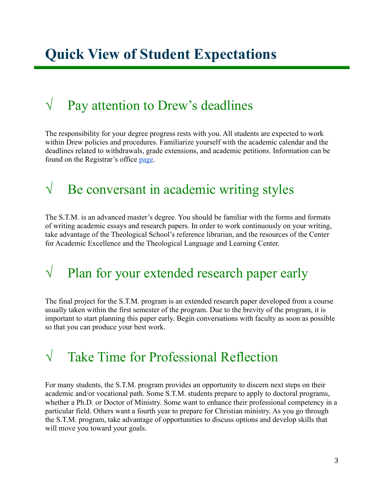### <span id="page-3-0"></span> $\sqrt{\phantom{a}}$  Pay attention to Drew's deadlines

The responsibility for your degree progress rests with you. All students are expected to work within Drew policies and procedures. Familiarize yourself with the academic calendar and the deadlines related to withdrawals, grade extensions, and academic petitions. Information can be found on the Registrar's office [page.](http://www.drew.edu/registrars-office/about-us/academic-calendars/)

### $\sqrt{\phantom{a}}$  Be conversant in academic writing styles

The S.T.M. is an advanced master's degree. You should be familiar with the forms and formats of writing academic essays and research papers. In order to work continuously on your writing, take advantage of the Theological School's reference librarian, and the resources of the Center for Academic Excellence and the Theological Language and Learning Center.

### $\sqrt{\phantom{a}}$  Plan for your extended research paper early

The final project for the S.T.M. program is an extended research paper developed from a course usually taken within the first semester of the program. Due to the brevity of the program, it is important to start planning this paper early. Begin conversations with faculty as soon as possible so that you can produce your best work.

### √ Take Time for Professional Reflection

For many students, the S.T.M. program provides an opportunity to discern next steps on their academic and/or vocational path. Some S.T.M. students prepare to apply to doctoral programs, whether a Ph.D. or Doctor of Ministry. Some want to enhance their professional competency in a particular field. Others want a fourth year to prepare for Christian ministry. As you go through the S.T.M. program, take advantage of opportunities to discuss options and develop skills that will move you toward your goals.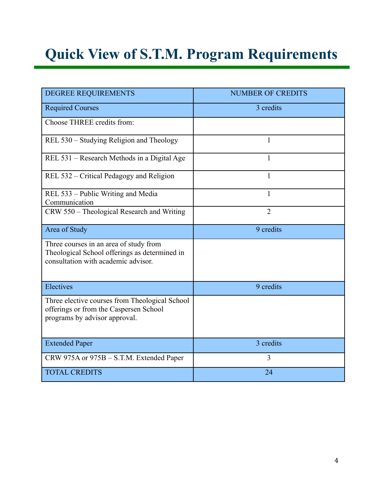# <span id="page-4-0"></span>**Quick View of S.T.M. Program Requirements**

| <b>DEGREE REQUIREMENTS</b>                                                                                                     | <b>NUMBER OF CREDITS</b> |  |  |
|--------------------------------------------------------------------------------------------------------------------------------|--------------------------|--|--|
| <b>Required Courses</b>                                                                                                        | 3 credits                |  |  |
| Choose THREE credits from:                                                                                                     |                          |  |  |
| REL 530 – Studying Religion and Theology                                                                                       | 1                        |  |  |
| REL 531 – Research Methods in a Digital Age                                                                                    | 1                        |  |  |
| REL 532 – Critical Pedagogy and Religion                                                                                       | $\mathbf{1}$             |  |  |
| REL 533 – Public Writing and Media<br>Communication                                                                            | 1                        |  |  |
| CRW 550 - Theological Research and Writing                                                                                     | $\overline{2}$           |  |  |
| Area of Study                                                                                                                  | 9 credits                |  |  |
| Three courses in an area of study from<br>Theological School offerings as determined in<br>consultation with academic advisor. |                          |  |  |
| Electives                                                                                                                      | 9 credits                |  |  |
| Three elective courses from Theological School<br>offerings or from the Caspersen School<br>programs by advisor approval.      |                          |  |  |
| <b>Extended Paper</b>                                                                                                          | 3 credits                |  |  |
| CRW 975A or 975B - S.T.M. Extended Paper                                                                                       | 3                        |  |  |
| <b>TOTAL CREDITS</b>                                                                                                           | 24                       |  |  |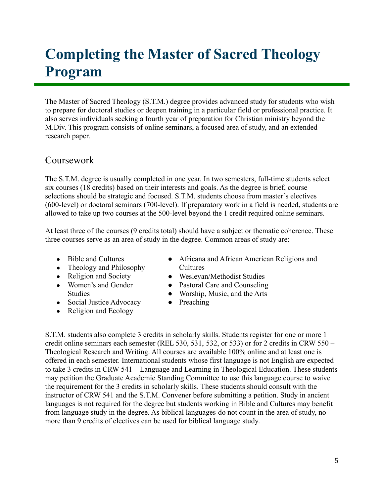### <span id="page-5-0"></span>**Completing the Master of Sacred Theology Program**

The Master of Sacred Theology (S.T.M.) degree provides advanced study for students who wish to prepare for doctoral studies or deepen training in a particular field or professional practice. It also serves individuals seeking a fourth year of preparation for Christian ministry beyond the M.Div. This program consists of online seminars, a focused area of study, and an extended research paper.

### <span id="page-5-1"></span>Coursework

The S.T.M. degree is usually completed in one year. In two semesters, full-time students select six courses (18 credits) based on their interests and goals. As the degree is brief, course selections should be strategic and focused. S.T.M. students choose from master's electives (600-level) or doctoral seminars (700-level). If preparatory work in a field is needed, students are allowed to take up two courses at the 500-level beyond the 1 credit required online seminars.

At least three of the courses (9 credits total) should have a subject or thematic coherence. These three courses serve as an area of study in the degree. Common areas of study are:

- Bible and Cultures
- Theology and Philosophy
- Religion and Society
- Women's and Gender Studies
- Social Justice Advocacy
- Religion and Ecology
- Africana and African American Religions and **Cultures**
- Wesleyan/Methodist Studies
- Pastoral Care and Counseling
- Worship, Music, and the Arts
- Preaching

S.T.M. students also complete 3 credits in scholarly skills. Students register for one or more 1 credit online seminars each semester (REL 530, 531, 532, or 533) or for 2 credits in CRW 550 – Theological Research and Writing. All courses are available 100% online and at least one is offered in each semester. International students whose first language is not English are expected to take 3 credits in CRW 541 – Language and Learning in Theological Education. These students may petition the Graduate Academic Standing Committee to use this language course to waive the requirement for the 3 credits in scholarly skills. These students should consult with the instructor of CRW 541 and the S.T.M. Convener before submitting a petition. Study in ancient languages is not required for the degree but students working in Bible and Cultures may benefit from language study in the degree. As biblical languages do not count in the area of study, no more than 9 credits of electives can be used for biblical language study.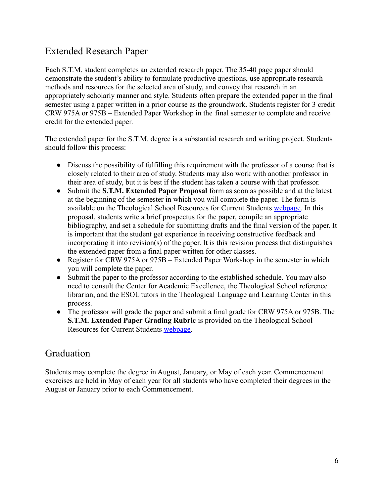### <span id="page-6-0"></span>Extended Research Paper

Each S.T.M. student completes an extended research paper. The 35-40 page paper should demonstrate the student's ability to formulate productive questions, use appropriate research methods and resources for the selected area of study, and convey that research in an appropriately scholarly manner and style. Students often prepare the extended paper in the final semester using a paper written in a prior course as the groundwork. Students register for 3 credit CRW 975A or 975B – Extended Paper Workshop in the final semester to complete and receive credit for the extended paper.

The extended paper for the S.T.M. degree is a substantial research and writing project. Students should follow this process:

- Discuss the possibility of fulfilling this requirement with the professor of a course that is closely related to their area of study. Students may also work with another professor in their area of study, but it is best if the student has taken a course with that professor.
- Submit the **S.T.M. Extended Paper Proposal** form as soon as possible and at the latest at the beginning of the semester in which you will complete the paper. The form is available on the Theological School Resources for Current Students [webpage.](http://www.drew.edu/theological-school/resources/) In this proposal, students write a brief prospectus for the paper, compile an appropriate bibliography, and set a schedule for submitting drafts and the final version of the paper. It is important that the student get experience in receiving constructive feedback and incorporating it into revision(s) of the paper. It is this revision process that distinguishes the extended paper from a final paper written for other classes.
- Register for CRW 975A or 975B Extended Paper Workshop in the semester in which you will complete the paper.
- Submit the paper to the professor according to the established schedule. You may also need to consult the Center for Academic Excellence, the Theological School reference librarian, and the ESOL tutors in the Theological Language and Learning Center in this process.
- The professor will grade the paper and submit a final grade for CRW 975A or 975B. The **S.T.M. Extended Paper Grading Rubric** is provided on the Theological School Resources for Current Students [webpage.](http://www.drew.edu/theological-school/resources/)

### <span id="page-6-1"></span>Graduation

Students may complete the degree in August, January, or May of each year. Commencement exercises are held in May of each year for all students who have completed their degrees in the August or January prior to each Commencement.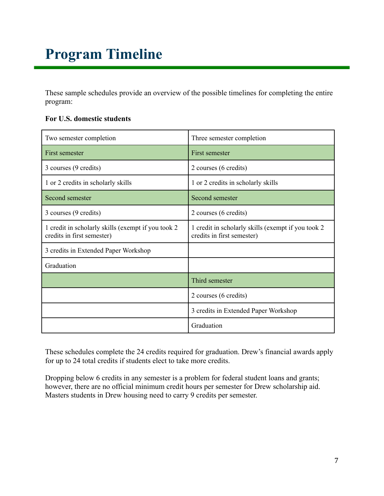# <span id="page-7-0"></span>**Program Timeline**

These sample schedules provide an overview of the possible timelines for completing the entire program:

#### **For U.S. domestic students**

| Two semester completion                                                          | Three semester completion                                                         |  |
|----------------------------------------------------------------------------------|-----------------------------------------------------------------------------------|--|
| First semester                                                                   | First semester                                                                    |  |
| 3 courses (9 credits)                                                            | 2 courses (6 credits)                                                             |  |
| 1 or 2 credits in scholarly skills                                               | 1 or 2 credits in scholarly skills                                                |  |
| Second semester                                                                  | Second semester                                                                   |  |
| 3 courses (9 credits)                                                            | 2 courses (6 credits)                                                             |  |
| 1 credit in scholarly skills (exempt if you took 2<br>credits in first semester) | 1 credit in scholarly skills (exempt if you took 2)<br>credits in first semester) |  |
| 3 credits in Extended Paper Workshop                                             |                                                                                   |  |
| Graduation                                                                       |                                                                                   |  |
|                                                                                  | Third semester                                                                    |  |
|                                                                                  | 2 courses (6 credits)                                                             |  |
|                                                                                  | 3 credits in Extended Paper Workshop                                              |  |
|                                                                                  | Graduation                                                                        |  |

These schedules complete the 24 credits required for graduation. Drew's financial awards apply for up to 24 total credits if students elect to take more credits.

Dropping below 6 credits in any semester is a problem for federal student loans and grants; however, there are no official minimum credit hours per semester for Drew scholarship aid. Masters students in Drew housing need to carry 9 credits per semester.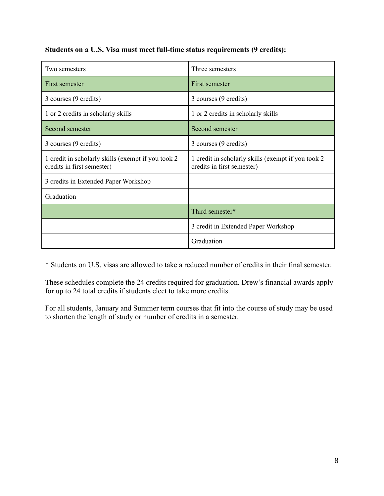**Students on a U.S. Visa must meet full-time status requirements (9 credits):**

| Two semesters                                                                     | Three semesters                                                                   |  |
|-----------------------------------------------------------------------------------|-----------------------------------------------------------------------------------|--|
| First semester                                                                    | First semester                                                                    |  |
| 3 courses (9 credits)                                                             | 3 courses (9 credits)                                                             |  |
| 1 or 2 credits in scholarly skills                                                | 1 or 2 credits in scholarly skills                                                |  |
| Second semester                                                                   | Second semester                                                                   |  |
| 3 courses (9 credits)                                                             | 3 courses (9 credits)                                                             |  |
| 1 credit in scholarly skills (exempt if you took 2)<br>credits in first semester) | 1 credit in scholarly skills (exempt if you took 2)<br>credits in first semester) |  |
| 3 credits in Extended Paper Workshop                                              |                                                                                   |  |
| Graduation                                                                        |                                                                                   |  |
|                                                                                   | Third semester*                                                                   |  |
|                                                                                   | 3 credit in Extended Paper Workshop                                               |  |
|                                                                                   | Graduation                                                                        |  |

\* Students on U.S. visas are allowed to take a reduced number of credits in their final semester.

These schedules complete the 24 credits required for graduation. Drew's financial awards apply for up to 24 total credits if students elect to take more credits.

For all students, January and Summer term courses that fit into the course of study may be used to shorten the length of study or number of credits in a semester.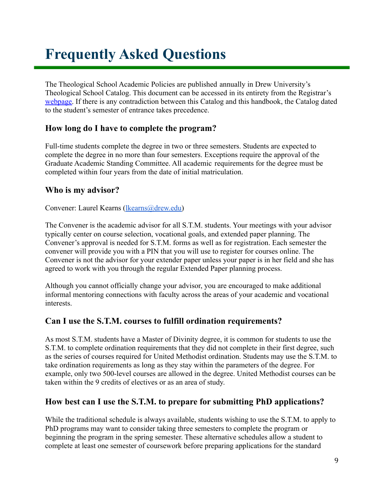## <span id="page-9-0"></span>**Frequently Asked Questions**

The Theological School Academic Policies are published annually in Drew University's Theological School Catalog. This document can be accessed in its entirety from the Registrar's [webpage.](http://catalog.drew.edu/index.php) If there is any contradiction between this Catalog and this handbook, the Catalog dated to the student's semester of entrance takes precedence.

#### **How long do I have to complete the program?**

Full-time students complete the degree in two or three semesters. Students are expected to complete the degree in no more than four semesters. Exceptions require the approval of the Graduate Academic Standing Committee. All academic requirements for the degree must be completed within four years from the date of initial matriculation.

#### **Who is my advisor?**

Convener: Laurel Kearns [\(lkearns@drew.edu\)](mailto:lkearns@drew.edu)

The Convener is the academic advisor for all S.T.M. students. Your meetings with your advisor typically center on course selection, vocational goals, and extended paper planning. The Convener's approval is needed for S.T.M. forms as well as for registration. Each semester the convener will provide you with a PIN that you will use to register for courses online. The Convener is not the advisor for your extender paper unless your paper is in her field and she has agreed to work with you through the regular Extended Paper planning process.

Although you cannot officially change your advisor, you are encouraged to make additional informal mentoring connections with faculty across the areas of your academic and vocational interests.

#### **Can I use the S.T.M. courses to fulfill ordination requirements?**

As most S.T.M. students have a Master of Divinity degree, it is common for students to use the S.T.M. to complete ordination requirements that they did not complete in their first degree, such as the series of courses required for United Methodist ordination. Students may use the S.T.M. to take ordination requirements as long as they stay within the parameters of the degree. For example, only two 500-level courses are allowed in the degree. United Methodist courses can be taken within the 9 credits of electives or as an area of study.

### **How best can I use the S.T.M. to prepare for submitting PhD applications?**

While the traditional schedule is always available, students wishing to use the S.T.M. to apply to PhD programs may want to consider taking three semesters to complete the program or beginning the program in the spring semester. These alternative schedules allow a student to complete at least one semester of coursework before preparing applications for the standard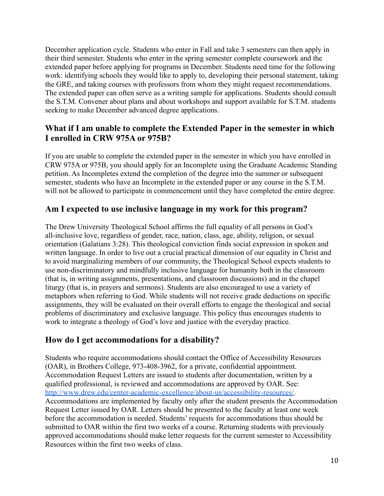December application cycle. Students who enter in Fall and take 3 semesters can then apply in their third semester. Students who enter in the spring semester complete coursework and the extended paper before applying for programs in December. Students need time for the following work: identifying schools they would like to apply to, developing their personal statement, taking the GRE, and taking courses with professors from whom they might request recommendations. The extended paper can often serve as a writing sample for applications. Students should consult the S.T.M. Convener about plans and about workshops and support available for S.T.M. students seeking to make December advanced degree applications.

#### **What if I am unable to complete the Extended Paper in the semester in which I enrolled in CRW 975A or 975B?**

If you are unable to complete the extended paper in the semester in which you have enrolled in CRW 975A or 975B, you should apply for an Incomplete using the Graduate Academic Standing petition. As Incompletes extend the completion of the degree into the summer or subsequent semester, students who have an Incomplete in the extended paper or any course in the S.T.M. will not be allowed to participate in commencement until they have completed the entire degree.

#### **Am I expected to use inclusive language in my work for this program?**

The Drew University Theological School affirms the full equality of all persons in God's all-inclusive love, regardless of gender, race, nation, class, age, ability, religion, or sexual orientation (Galatians 3:28). This theological conviction finds social expression in spoken and written language. In order to live out a crucial practical dimension of our equality in Christ and to avoid marginalizing members of our community, the Theological School expects students to use non-discriminatory and mindfully inclusive language for humanity both in the classroom (that is, in writing assignments, presentations, and classroom discussions) and in the chapel liturgy (that is, in prayers and sermons). Students are also encouraged to use a variety of metaphors when referring to God. While students will not receive grade deductions on specific assignments, they will be evaluated on their overall efforts to engage the theological and social problems of discriminatory and exclusive language. This policy thus encourages students to work to integrate a theology of God's love and justice with the everyday practice.

#### **How do I get accommodations for a disability?**

Students who require accommodations should contact the Office of Accessibility Resources (OAR), in Brothers College, 973-408-3962, for a private, confidential appointment. Accommodation Request Letters are issued to students after documentation, written by a qualified professional, is reviewed and accommodations are approved by OAR. See: [http://www.drew.edu/center-academic-excellence/about-us/accessibility-resources/.](http://www.drew.edu/center-academic-excellence/about-us/accessibility-resources/) Accommodations are implemented by faculty only after the student presents the Accommodation Request Letter issued by OAR. Letters should be presented to the faculty at least one week before the accommodation is needed. Students' requests for accommodations thus should be submitted to OAR within the first two weeks of a course. Returning students with previously approved accommodations should make letter requests for the current semester to Accessibility Resources within the first two weeks of class.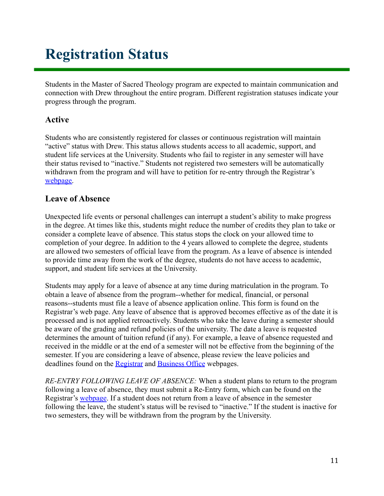## <span id="page-11-0"></span>**Registration Status**

Students in the Master of Sacred Theology program are expected to maintain communication and connection with Drew throughout the entire program. Different registration statuses indicate your progress through the program.

#### **Active**

Students who are consistently registered for classes or continuous registration will maintain "active" status with Drew. This status allows students access to all academic, support, and student life services at the University. Students who fail to register in any semester will have their status revised to "inactive." Students not registered two semesters will be automatically withdrawn from the program and will have to petition for re-entry through the Registrar's [webpage.](http://www.drew.edu/registrars-office/about-us/students/)

#### **Leave of Absence**

Unexpected life events or personal challenges can interrupt a student's ability to make progress in the degree. At times like this, students might reduce the number of credits they plan to take or consider a complete leave of absence. This status stops the clock on your allowed time to completion of your degree. In addition to the 4 years allowed to complete the degree, students are allowed two semesters of official leave from the program. As a leave of absence is intended to provide time away from the work of the degree, students do not have access to academic, support, and student life services at the University.

Students may apply for a leave of absence at any time during matriculation in the program. To obtain a leave of absence from the program--whether for medical, financial, or personal reasons--students must file a leave of absence application online. This form is found on the Registrar's web page. Any leave of absence that is approved becomes effective as of the date it is processed and is not applied retroactively. Students who take the leave during a semester should be aware of the grading and refund policies of the university. The date a leave is requested determines the amount of tuition refund (if any). For example, a leave of absence requested and received in the middle or at the end of a semester will not be effective from the beginning of the semester. If you are considering a leave of absence, please review the leave policies and deadlines found on the [Registrar](http://www.drew.edu/registrars-office/) and [Business Office](http://www.drew.edu/fba/student-accounts/) webpages.

*RE-ENTRY FOLLOWING LEAVE OF ABSENCE:* When a student plans to return to the program following a leave of absence, they must submit a Re-Entry form, which can be found on the Registrar's [webpage](http://www.drew.edu/registrars-office/). If a student does not return from a leave of absence in the semester following the leave, the student's status will be revised to "inactive." If the student is inactive for two semesters, they will be withdrawn from the program by the University.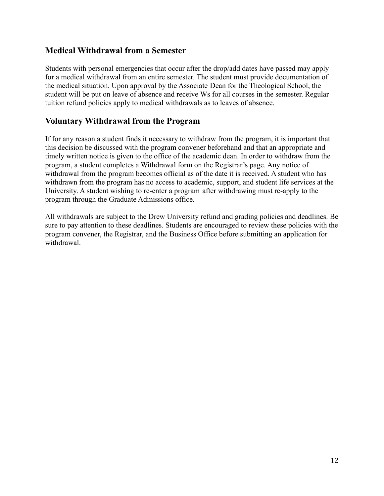#### **Medical Withdrawal from a Semester**

Students with personal emergencies that occur after the drop/add dates have passed may apply for a medical withdrawal from an entire semester. The student must provide documentation of the medical situation. Upon approval by the Associate Dean for the Theological School, the student will be put on leave of absence and receive Ws for all courses in the semester. Regular tuition refund policies apply to medical withdrawals as to leaves of absence.

#### **Voluntary Withdrawal from the Program**

If for any reason a student finds it necessary to withdraw from the program, it is important that this decision be discussed with the program convener beforehand and that an appropriate and timely written notice is given to the office of the academic dean. In order to withdraw from the program, a student completes a Withdrawal form on the Registrar's page. Any notice of withdrawal from the program becomes official as of the date it is received. A student who has withdrawn from the program has no access to academic, support, and student life services at the University. A student wishing to re-enter a program after withdrawing must re-apply to the program through the Graduate Admissions office.

All withdrawals are subject to the Drew University refund and grading policies and deadlines. Be sure to pay attention to these deadlines. Students are encouraged to review these policies with the program convener, the Registrar, and the Business Office before submitting an application for withdrawal.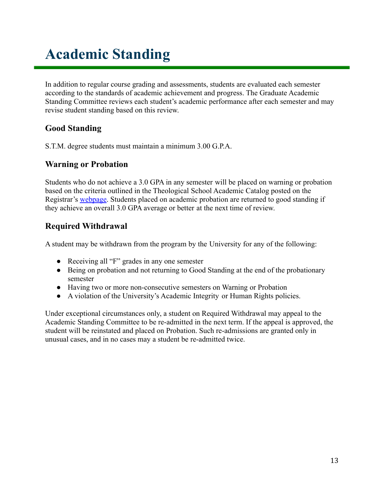# <span id="page-13-0"></span>**Academic Standing**

In addition to regular course grading and assessments, students are evaluated each semester according to the standards of academic achievement and progress. The Graduate Academic Standing Committee reviews each student's academic performance after each semester and may revise student standing based on this review.

### **Good Standing**

S.T.M. degree students must maintain a minimum 3.00 G.P.A.

### **Warning or Probation**

Students who do not achieve a 3.0 GPA in any semester will be placed on warning or probation based on the criteria outlined in the Theological School Academic Catalog posted on the Registrar's [webpage](http://www.drew.edu/registrars-office/). Students placed on academic probation are returned to good standing if they achieve an overall 3.0 GPA average or better at the next time of review.

### **Required Withdrawal**

A student may be withdrawn from the program by the University for any of the following:

- Receiving all "F" grades in any one semester
- Being on probation and not returning to Good Standing at the end of the probationary semester
- Having two or more non-consecutive semesters on Warning or Probation
- A violation of the University's Academic Integrity or Human Rights policies.

Under exceptional circumstances only, a student on Required Withdrawal may appeal to the Academic Standing Committee to be re-admitted in the next term. If the appeal is approved, the student will be reinstated and placed on Probation. Such re-admissions are granted only in unusual cases, and in no cases may a student be re-admitted twice.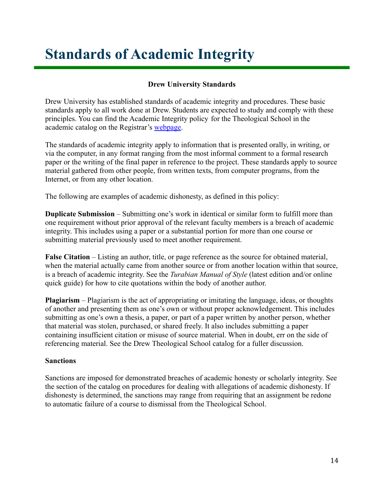## <span id="page-14-0"></span>**Standards of Academic Integrity**

#### **Drew University Standards**

Drew University has established standards of academic integrity and procedures. These basic standards apply to all work done at Drew. Students are expected to study and comply with these principles. You can find the Academic Integrity policy for the Theological School in the academic catalog on the Registrar's [webpage.](http://catalog.drew.edu/index.php)

The standards of academic integrity apply to information that is presented orally, in writing, or via the computer, in any format ranging from the most informal comment to a formal research paper or the writing of the final paper in reference to the project. These standards apply to source material gathered from other people, from written texts, from computer programs, from the Internet, or from any other location.

The following are examples of academic dishonesty, as defined in this policy:

**Duplicate Submission** – Submitting one's work in identical or similar form to fulfill more than one requirement without prior approval of the relevant faculty members is a breach of academic integrity. This includes using a paper or a substantial portion for more than one course or submitting material previously used to meet another requirement.

**False Citation** – Listing an author, title, or page reference as the source for obtained material, when the material actually came from another source or from another location within that source, is a breach of academic integrity. See the *Turabian Manual of Style* (latest edition and/or online quick guide) for how to cite quotations within the body of another author.

**Plagiarism** – Plagiarism is the act of appropriating or imitating the language, ideas, or thoughts of another and presenting them as one's own or without proper acknowledgement. This includes submitting as one's own a thesis, a paper, or part of a paper written by another person, whether that material was stolen, purchased, or shared freely. It also includes submitting a paper containing insufficient citation or misuse of source material. When in doubt, err on the side of referencing material. See the Drew Theological School catalog for a fuller discussion.

#### **Sanctions**

Sanctions are imposed for demonstrated breaches of academic honesty or scholarly integrity. See the section of the catalog on procedures for dealing with allegations of academic dishonesty. If dishonesty is determined, the sanctions may range from requiring that an assignment be redone to automatic failure of a course to dismissal from the Theological School.